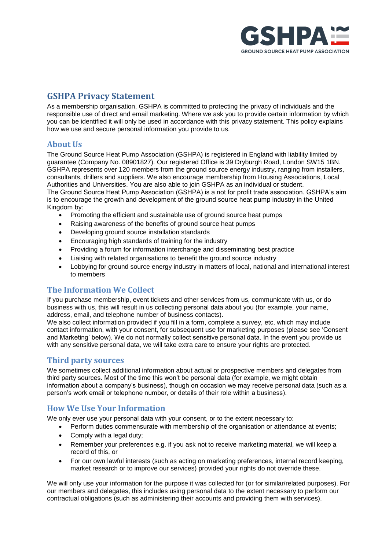

# **GSHPA Privacy Statement**

As a membership organisation, GSHPA is committed to protecting the privacy of individuals and the responsible use of direct and email marketing. Where we ask you to provide certain information by which you can be identified it will only be used in accordance with this privacy statement. This policy explains how we use and secure personal information you provide to us.

## **About Us**

The Ground Source Heat Pump Association (GSHPA) is registered in England with liability limited by guarantee (Company No. 08901827). Our registered Office is 39 Dryburgh Road, London SW15 1BN. GSHPA represents over 120 members from the ground source energy industry, ranging from installers, consultants, drillers and suppliers. We also encourage membership from Housing Associations, Local Authorities and Universities. You are also able to join GSHPA as an individual or student. The Ground Source Heat Pump Association (GSHPA) is a not for profit trade association. GSHPA's aim is to encourage the growth and development of the ground source heat pump industry in the United

#### Kingdom by:

- Promoting the efficient and sustainable use of ground source heat pumps
- Raising awareness of the benefits of ground source heat pumps
- Developing ground source installation standards
- Encouraging high standards of training for the industry
- Providing a forum for information interchange and disseminating best practice
- Liaising with related organisations to benefit the ground source industry
- Lobbying for ground source energy industry in matters of local, national and international interest to members

#### **The Information We Collect**

If you purchase membership, event tickets and other services from us, communicate with us, or do business with us, this will result in us collecting personal data about you (for example, your name, address, email, and telephone number of business contacts).

We also collect information provided if you fill in a form, complete a survey, etc, which may include contact information, with your consent, for subsequent use for marketing purposes (please see 'Consent and Marketing' below). We do not normally collect sensitive personal data. In the event you provide us with any sensitive personal data, we will take extra care to ensure your rights are protected.

#### **Third party sources**

We sometimes collect additional information about actual or prospective members and delegates from third party sources. Most of the time this won't be personal data (for example, we might obtain information about a company's business), though on occasion we may receive personal data (such as a person's work email or telephone number, or details of their role within a business).

### **How We Use Your Information**

We only ever use your personal data with your consent, or to the extent necessary to:

- Perform duties commensurate with membership of the organisation or attendance at events;
- Comply with a legal duty;
- Remember your preferences e.g. if you ask not to receive marketing material, we will keep a record of this, or
- For our own lawful interests (such as acting on marketing preferences, internal record keeping, market research or to improve our services) provided your rights do not override these.

We will only use your information for the purpose it was collected for (or for similar/related purposes). For our members and delegates, this includes using personal data to the extent necessary to perform our contractual obligations (such as administering their accounts and providing them with services).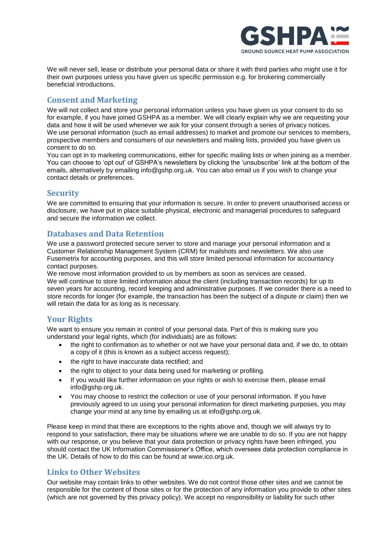

We will never sell, lease or distribute your personal data or share it with third parties who might use it for their own purposes unless you have given us specific permission e.g. for brokering commercially beneficial introductions.

# **Consent and Marketing**

We will not collect and store your personal information unless you have given us your consent to do so for example, if you have joined GSHPA as a member. We will clearly explain why we are requesting your data and how it will be used whenever we ask for your consent through a series of privacy notices. We use personal information (such as email addresses) to market and promote our services to members, prospective members and consumers of our newsletters and mailing lists, provided you have given us consent to do so.

You can opt in to marketing communications, either for specific mailing lists or when joining as a member. You can choose to 'opt out' of GSHPA's newsletters by clicking the 'unsubscribe' link at the bottom of the emails, alternatively by emailing info@gshp.org.uk. You can also email us if you wish to change your contact details or preferences.

## **Security**

We are committed to ensuring that your information is secure. In order to prevent unauthorised access or disclosure, we have put in place suitable physical, electronic and managerial procedures to safeguard and secure the information we collect.

## **Databases and Data Retention**

We use a password protected secure server to store and manage your personal information and a Customer Relationship Management System (CRM) for mailshots and newsletters. We also use Fusemetrix for accounting purposes, and this will store limited personal information for accountancy contact purposes.

We remove most information provided to us by members as soon as services are ceased. We will continue to store limited information about the client (including transaction records) for up to seven years for accounting, record keeping and administrative purposes. If we consider there is a need to store records for longer (for example, the transaction has been the subject of a dispute or claim) then we will retain the data for as long as is necessary.

# **Your Rights**

We want to ensure you remain in control of your personal data. Part of this is making sure you understand your legal rights, which (for individuals) are as follows:

- the right to confirmation as to whether or not we have your personal data and, if we do, to obtain a copy of it (this is known as a subject access request);
- the right to have inaccurate data rectified: and
- the right to object to your data being used for marketing or profiling.
- If you would like further information on your rights or wish to exercise them, please email info@gshp.org.uk.
- You may choose to restrict the collection or use of your personal information. If you have previously agreed to us using your personal information for direct marketing purposes, you may change your mind at any time by emailing us at info@gshp.org.uk.

Please keep in mind that there are exceptions to the rights above and, though we will always try to respond to your satisfaction, there may be situations where we are unable to do so. If you are not happy with our response, or you believe that your data protection or privacy rights have been infringed, you should contact the UK Information Commissioner's Office, which oversees data protection compliance in the UK. Details of how to do this can be found at www.ico.org.uk.

### **Links to Other Websites**

Our website may contain links to other websites. We do not control those other sites and we cannot be responsible for the content of those sites or for the protection of any information you provide to other sites (which are not governed by this privacy policy). We accept no responsibility or liability for such other